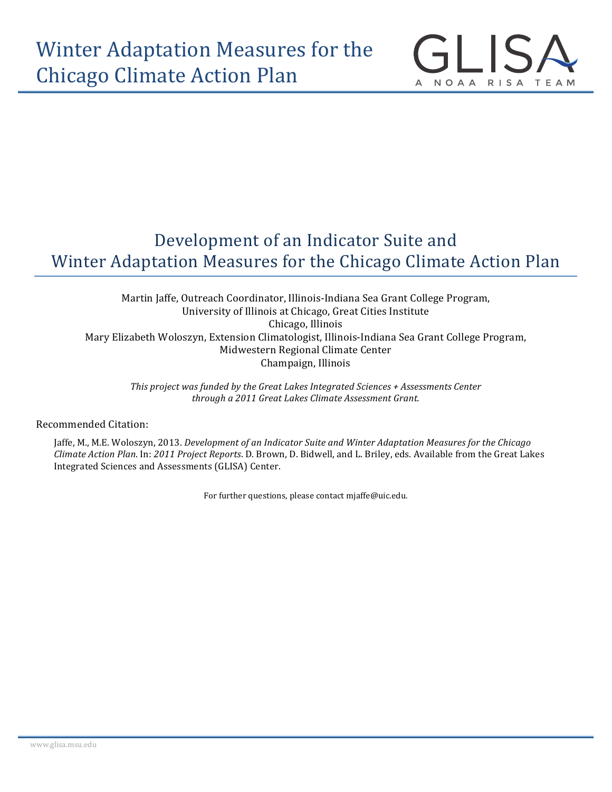

NOAA RISA TEAM

Martin Jaffe, Outreach Coordinator, Illinois-Indiana Sea Grant College Program, University of Illinois at Chicago, Great Cities Institute Chicago, Illinois Mary Elizabeth Woloszyn, Extension Climatologist, Illinois-Indiana Sea Grant College Program, Midwestern Regional Climate Center Champaign, Illinois

*This project was funded by the Great Lakes Integrated Sciences* + Assessments Center *through a 2011 Great Lakes Climate Assessment Grant.*

Recommended Citation:

Jaffe, M., M.E. Woloszyn, 2013. *Development of an Indicator Suite and Winter Adaptation Measures for the Chicago Climate Action Plan. In: 2011 Project Reports.* D. Brown, D. Bidwell, and L. Briley, eds. Available from the Great Lakes Integrated Sciences and Assessments (GLISA) Center.

For further questions, please contact mjaffe@uic.edu.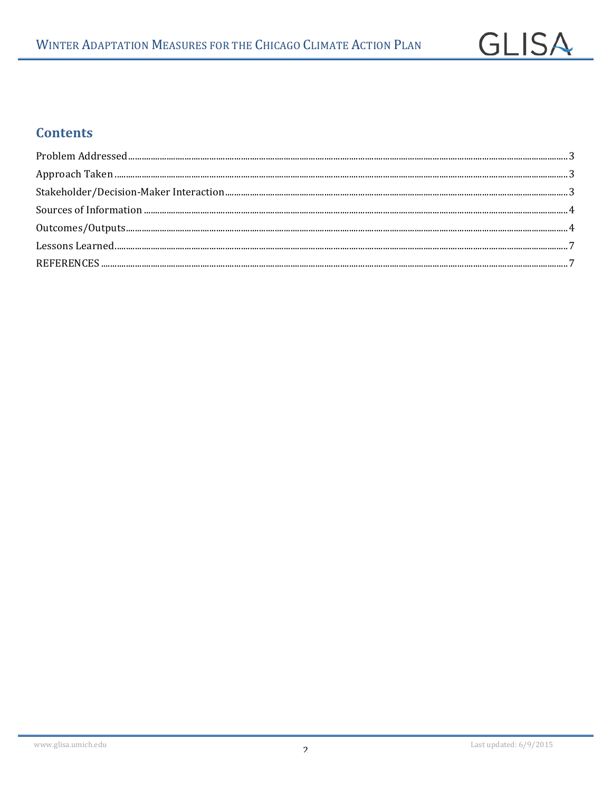## **Contents**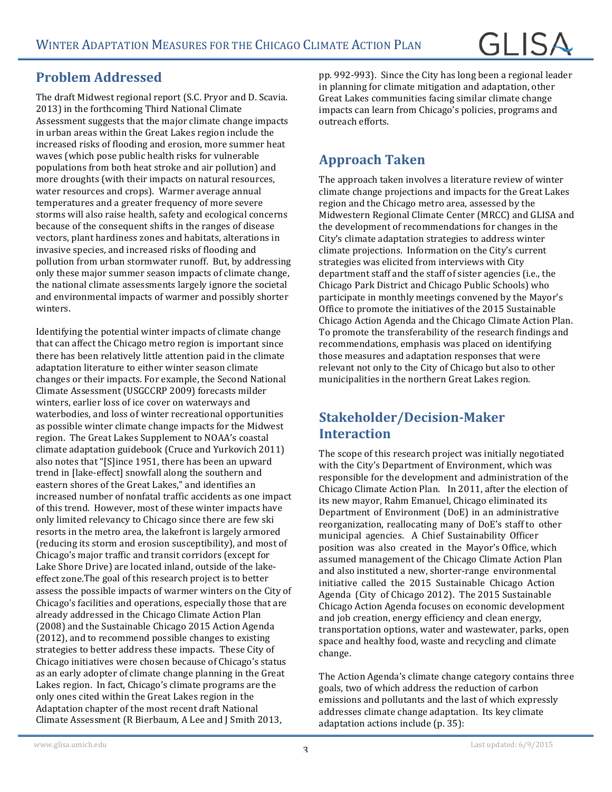#### **Problem Addressed**

The draft Midwest regional report (S.C. Pryor and D. Scavia. 2013) in the forthcoming Third National Climate Assessment suggests that the major climate change impacts in urban areas within the Great Lakes region include the increased risks of flooding and erosion, more summer heat waves (which pose public health risks for vulnerable populations from both heat stroke and air pollution) and more droughts (with their impacts on natural resources, water resources and crops). Warmer average annual temperatures and a greater frequency of more severe storms will also raise health, safety and ecological concerns because of the consequent shifts in the ranges of disease vectors, plant hardiness zones and habitats, alterations in invasive species, and increased risks of flooding and pollution from urban stormwater runoff. But, by addressing only these major summer season impacts of climate change, the national climate assessments largely ignore the societal and environmental impacts of warmer and possibly shorter winters.

Identifying the potential winter impacts of climate change that can affect the Chicago metro region is important since there has been relatively little attention paid in the climate adaptation literature to either winter season climate changes or their impacts. For example, the Second National Climate Assessment (USGCCRP 2009) forecasts milder winters, earlier loss of ice cover on waterways and waterbodies, and loss of winter recreational opportunities as possible winter climate change impacts for the Midwest region. The Great Lakes Supplement to NOAA's coastal climate adaptation guidebook (Cruce and Yurkovich 2011) also notes that "[S]ince 1951, there has been an upward trend in [lake-effect] snowfall along the southern and eastern shores of the Great Lakes," and identifies an increased number of nonfatal traffic accidents as one impact of this trend. However, most of these winter impacts have only limited relevancy to Chicago since there are few ski resorts in the metro area, the lakefront is largely armored (reducing its storm and erosion susceptibility), and most of Chicago's major traffic and transit corridors (except for Lake Shore Drive) are located inland, outside of the lakeeffect zone. The goal of this research project is to better assess the possible impacts of warmer winters on the City of Chicago's facilities and operations, especially those that are already addressed in the Chicago Climate Action Plan (2008) and the Sustainable Chicago 2015 Action Agenda (2012), and to recommend possible changes to existing strategies to better address these impacts. These City of Chicago initiatives were chosen because of Chicago's status as an early adopter of climate change planning in the Great Lakes region. In fact, Chicago's climate programs are the only ones cited within the Great Lakes region in the Adaptation chapter of the most recent draft National Climate Assessment (R Bierbaum, A Lee and J Smith 2013,

pp. 992-993). Since the City has long been a regional leader in planning for climate mitigation and adaptation, other Great Lakes communities facing similar climate change impacts can learn from Chicago's policies, programs and outreach efforts.

### **Approach Taken**

The approach taken involves a literature review of winter climate change projections and impacts for the Great Lakes region and the Chicago metro area, assessed by the Midwestern Regional Climate Center (MRCC) and GLISA and the development of recommendations for changes in the City's climate adaptation strategies to address winter climate projections. Information on the City's current strategies was elicited from interviews with City department staff and the staff of sister agencies (i.e., the Chicago Park District and Chicago Public Schools) who participate in monthly meetings convened by the Mayor's Office to promote the initiatives of the 2015 Sustainable Chicago Action Agenda and the Chicago Climate Action Plan. To promote the transferability of the research findings and recommendations, emphasis was placed on identifying those measures and adaptation responses that were relevant not only to the City of Chicago but also to other municipalities in the northern Great Lakes region.

#### **Stakeholder/Decision-Maker Interaction**

The scope of this research project was initially negotiated with the City's Department of Environment, which was responsible for the development and administration of the Chicago Climate Action Plan. In 2011, after the election of its new mayor, Rahm Emanuel, Chicago eliminated its Department of Environment (DoE) in an administrative reorganization, reallocating many of DoE's staff to other municipal agencies. A Chief Sustainability Officer position was also created in the Mayor's Office, which assumed management of the Chicago Climate Action Plan and also instituted a new, shorter-range environmental initiative called the 2015 Sustainable Chicago Action Agenda (City of Chicago 2012). The 2015 Sustainable Chicago Action Agenda focuses on economic development and job creation, energy efficiency and clean energy, transportation options, water and wastewater, parks, open space and healthy food, waste and recycling and climate change.

The Action Agenda's climate change category contains three goals, two of which address the reduction of carbon emissions and pollutants and the last of which expressly addresses climate change adaptation. Its key climate adaptation actions include (p. 35):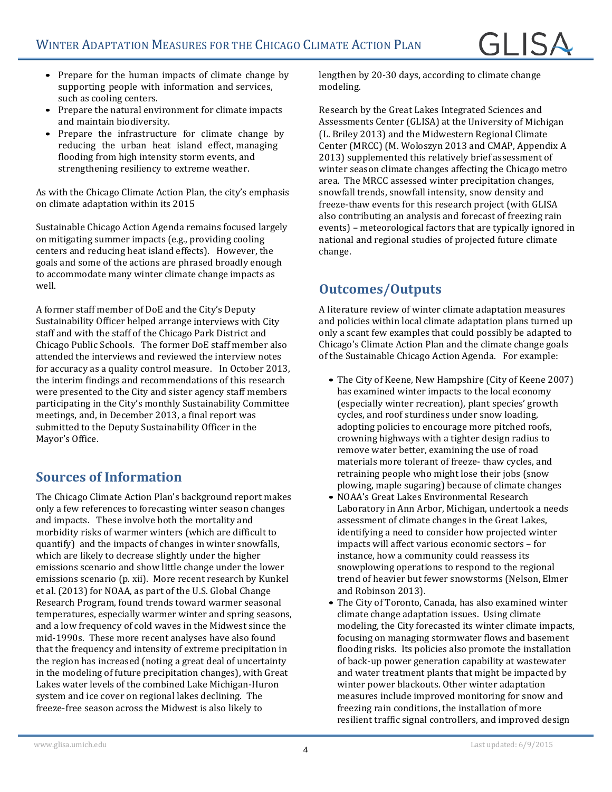- Prepare for the human impacts of climate change by supporting people with information and services, such as cooling centers.
- Prepare the natural environment for climate impacts and maintain biodiversity.
- Prepare the infrastructure for climate change by reducing the urban heat island effect managing flooding from high intensity storm events, and strengthening resiliency to extreme weather.

As with the Chicago Climate Action Plan, the city's emphasis on climate adaptation within its 2015

Sustainable Chicago Action Agenda remains focused largely on mitigating summer impacts (e.g., providing cooling centers and reducing heat island effects). However, the goals and some of the actions are phrased broadly enough to accommodate many winter climate change impacts as well.

A former staff member of DoE and the City's Deputy Sustainability Officer helped arrange interviews with City staff and with the staff of the Chicago Park District and Chicago Public Schools. The former DoE staff member also attended the interviews and reviewed the interview notes for accuracy as a quality control measure. In October 2013, the interim findings and recommendations of this research were presented to the City and sister agency staff members participating in the City's monthly Sustainability Committee meetings, and, in December 2013, a final report was submitted to the Deputy Sustainability Officer in the Mayor's Office.

#### **Sources of Information**

The Chicago Climate Action Plan's background report makes only a few references to forecasting winter season changes and impacts. These involve both the mortality and morbidity risks of warmer winters (which are difficult to quantify) and the impacts of changes in winter snowfalls, which are likely to decrease slightly under the higher emissions scenario and show little change under the lower emissions scenario (p. xii). More recent research by Kunkel et al. (2013) for NOAA, as part of the U.S. Global Change Research Program, found trends toward warmer seasonal temperatures, especially warmer winter and spring seasons, and a low frequency of cold waves in the Midwest since the mid-1990s. These more recent analyses have also found that the frequency and intensity of extreme precipitation in the region has increased (noting a great deal of uncertainty in the modeling of future precipitation changes), with Great Lakes water levels of the combined Lake Michigan-Huron system and ice cover on regional lakes declining. The freeze-free season across the Midwest is also likely to

lengthen by 20-30 days, according to climate change modeling.

Research by the Great Lakes Integrated Sciences and Assessments Center (GLISA) at the University of Michigan (L. Briley 2013) and the Midwestern Regional Climate Center (MRCC) (M. Woloszyn 2013 and CMAP, Appendix A 2013) supplemented this relatively brief assessment of winter season climate changes affecting the Chicago metro area. The MRCC assessed winter precipitation changes, snowfall trends, snowfall intensity, snow density and freeze-thaw events for this research project (with GLISA also contributing an analysis and forecast of freezing rain events) – meteorological factors that are typically ignored in national and regional studies of projected future climate change.

#### **Outcomes/Outputs**

A literature review of winter climate adaptation measures and policies within local climate adaptation plans turned up only a scant few examples that could possibly be adapted to Chicago's Climate Action Plan and the climate change goals of the Sustainable Chicago Action Agenda. For example:

- The City of Keene, New Hampshire (City of Keene 2007) has examined winter impacts to the local economy (especially winter recreation), plant species' growth cycles, and roof sturdiness under snow loading. adopting policies to encourage more pitched roofs, crowning highways with a tighter design radius to remove water better, examining the use of road materials more tolerant of freeze- thaw cycles, and retraining people who might lose their jobs (snow plowing, maple sugaring) because of climate changes
- NOAA's Great Lakes Environmental Research Laboratory in Ann Arbor, Michigan, undertook a needs assessment of climate changes in the Great Lakes, identifying a need to consider how projected winter impacts will affect various economic sectors – for instance, how a community could reassess its snowplowing operations to respond to the regional trend of heavier but fewer snowstorms (Nelson, Elmer and Robinson 2013).
- The City of Toronto, Canada, has also examined winter climate change adaptation issues. Using climate modeling, the City forecasted its winter climate impacts, focusing on managing stormwater flows and basement flooding risks. Its policies also promote the installation of back-up power generation capability at wastewater and water treatment plants that might be impacted by winter power blackouts. Other winter adaptation measures include improved monitoring for snow and freezing rain conditions, the installation of more resilient traffic signal controllers, and improved design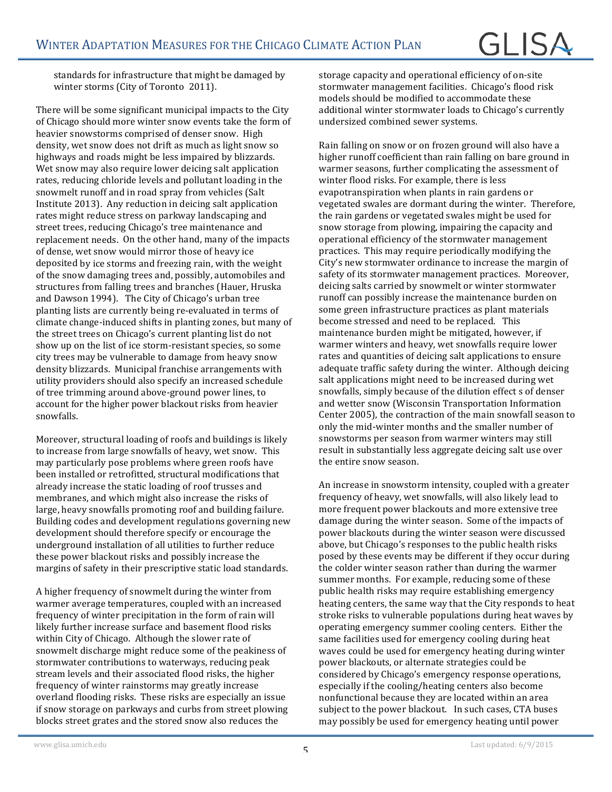standards for infrastructure that might be damaged by winter storms (City of Toronto 2011).

There will be some significant municipal impacts to the City of Chicago should more winter snow events take the form of heavier snowstorms comprised of denser snow. High density, wet snow does not drift as much as light snow so highways and roads might be less impaired by blizzards. Wet snow may also require lower deicing salt application rates, reducing chloride levels and pollutant loading in the snowmelt runoff and in road spray from vehicles (Salt Institute 2013). Any reduction in deicing salt application rates might reduce stress on parkway landscaping and street trees, reducing Chicago's tree maintenance and replacement needs. On the other hand, many of the impacts of dense, wet snow would mirror those of heavy ice deposited by ice storms and freezing rain, with the weight of the snow damaging trees and, possibly, automobiles and structures from falling trees and branches (Hauer, Hruska and Dawson 1994). The City of Chicago's urban tree planting lists are currently being re-evaluated in terms of climate change-induced shifts in planting zones, but many of the street trees on Chicago's current planting list do not show up on the list of ice storm-resistant species, so some city trees may be vulnerable to damage from heavy snow density blizzards. Municipal franchise arrangements with utility providers should also specify an increased schedule of tree trimming around above-ground power lines, to account for the higher power blackout risks from heavier snowfalls.

Moreover, structural loading of roofs and buildings is likely to increase from large snowfalls of heavy, wet snow. This may particularly pose problems where green roofs have been installed or retrofitted, structural modifications that already increase the static loading of roof trusses and membranes, and which might also increase the risks of large, heavy snowfalls promoting roof and building failure. Building codes and development regulations governing new development should therefore specify or encourage the underground installation of all utilities to further reduce these power blackout risks and possibly increase the margins of safety in their prescriptive static load standards.

A higher frequency of snowmelt during the winter from warmer average temperatures, coupled with an increased frequency of winter precipitation in the form of rain will likely further increase surface and basement flood risks within City of Chicago. Although the slower rate of snowmelt discharge might reduce some of the peakiness of stormwater contributions to waterways, reducing peak stream levels and their associated flood risks, the higher frequency of winter rainstorms may greatly increase overland flooding risks. These risks are especially an issue if snow storage on parkways and curbs from street plowing blocks street grates and the stored snow also reduces the

storage capacity and operational efficiency of on-site stormwater management facilities. Chicago's flood risk models should be modified to accommodate these additional winter stormwater loads to Chicago's currently undersized combined sewer systems.

Rain falling on snow or on frozen ground will also have a higher runoff coefficient than rain falling on bare ground in warmer seasons, further complicating the assessment of winter flood risks. For example, there is less evapotranspiration when plants in rain gardens or vegetated swales are dormant during the winter. Therefore, the rain gardens or vegetated swales might be used for snow storage from plowing, impairing the capacity and operational efficiency of the stormwater management practices. This may require periodically modifying the City's new stormwater ordinance to increase the margin of safety of its stormwater management practices. Moreover, deicing salts carried by snowmelt or winter stormwater runoff can possibly increase the maintenance burden on some green infrastructure practices as plant materials become stressed and need to be replaced. This maintenance burden might be mitigated, however, if warmer winters and heavy, wet snowfalls require lower rates and quantities of deicing salt applications to ensure adequate traffic safety during the winter. Although deicing salt applications might need to be increased during wet snowfalls, simply because of the dilution effect s of denser and wetter snow (Wisconsin Transportation Information Center 2005), the contraction of the main snowfall season to only the mid-winter months and the smaller number of snowstorms per season from warmer winters may still result in substantially less aggregate deicing salt use over the entire snow season.

An increase in snowstorm intensity, coupled with a greater frequency of heavy, wet snowfalls, will also likely lead to more frequent power blackouts and more extensive tree damage during the winter season. Some of the impacts of power blackouts during the winter season were discussed above, but Chicago's responses to the public health risks posed by these events may be different if they occur during the colder winter season rather than during the warmer summer months. For example, reducing some of these public health risks may require establishing emergency heating centers, the same way that the City responds to heat stroke risks to vulnerable populations during heat waves by operating emergency summer cooling centers. Either the same facilities used for emergency cooling during heat waves could be used for emergency heating during winter power blackouts, or alternate strategies could be considered by Chicago's emergency response operations, especially if the cooling/heating centers also become nonfunctional because they are located within an area subject to the power blackout. In such cases, CTA buses may possibly be used for emergency heating until power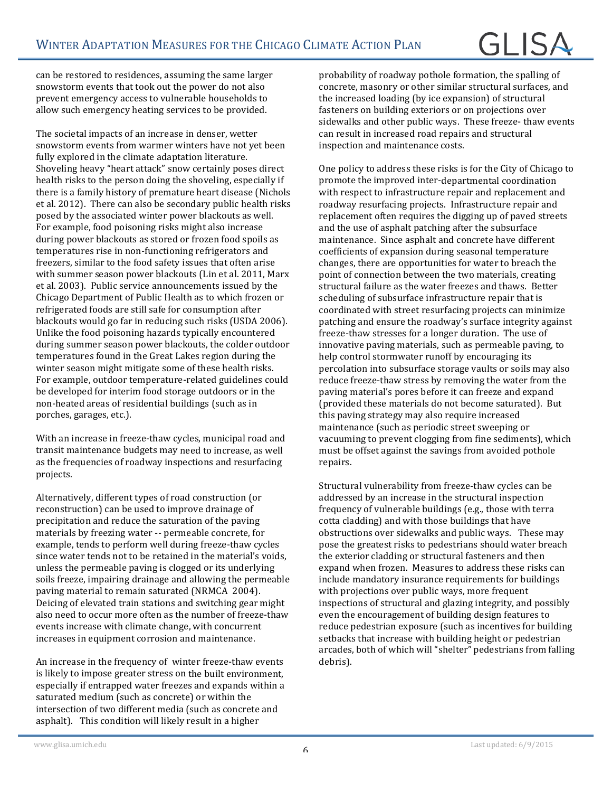# GI ISA

can be restored to residences, assuming the same larger snowstorm events that took out the power do not also prevent emergency access to vulnerable households to allow such emergency heating services to be provided.

The societal impacts of an increase in denser, wetter snowstorm events from warmer winters have not yet been fully explored in the climate adaptation literature. Shoveling heavy "heart attack" snow certainly poses direct health risks to the person doing the shoveling, especially if there is a family history of premature heart disease (Nichols et al. 2012). There can also be secondary public health risks posed by the associated winter power blackouts as well. For example, food poisoning risks might also increase during power blackouts as stored or frozen food spoils as temperatures rise in non-functioning refrigerators and freezers, similar to the food safety issues that often arise with summer season power blackouts (Lin et al. 2011, Marx et al. 2003). Public service announcements issued by the Chicago Department of Public Health as to which frozen or refrigerated foods are still safe for consumption after blackouts would go far in reducing such risks (USDA 2006). Unlike the food poisoning hazards typically encountered during summer season power blackouts, the colder outdoor temperatures found in the Great Lakes region during the winter season might mitigate some of these health risks. For example, outdoor temperature-related guidelines could be developed for interim food storage outdoors or in the non-heated areas of residential buildings (such as in porches, garages, etc.).

With an increase in freeze-thaw cycles, municipal road and transit maintenance budgets may need to increase, as well as the frequencies of roadway inspections and resurfacing projects.

Alternatively, different types of road construction (or reconstruction) can be used to improve drainage of precipitation and reduce the saturation of the paving materials by freezing water -- permeable concrete, for example, tends to perform well during freeze-thaw cycles since water tends not to be retained in the material's voids, unless the permeable paving is clogged or its underlying soils freeze, impairing drainage and allowing the permeable paving material to remain saturated (NRMCA 2004). Deicing of elevated train stations and switching gear might also need to occur more often as the number of freeze-thaw events increase with climate change, with concurrent increases in equipment corrosion and maintenance.

An increase in the frequency of winter freeze-thaw events is likely to impose greater stress on the built environment, especially if entrapped water freezes and expands within a saturated medium (such as concrete) or within the intersection of two different media (such as concrete and asphalt). This condition will likely result in a higher

probability of roadway pothole formation, the spalling of concrete, masonry or other similar structural surfaces, and the increased loading (by ice expansion) of structural fasteners on building exteriors or on projections over sidewalks and other public ways. These freeze- thaw events can result in increased road repairs and structural inspection and maintenance costs.

One policy to address these risks is for the City of Chicago to promote the improved inter-departmental coordination with respect to infrastructure repair and replacement and roadway resurfacing projects. Infrastructure repair and replacement often requires the digging up of paved streets and the use of asphalt patching after the subsurface maintenance. Since asphalt and concrete have different coefficients of expansion during seasonal temperature changes, there are opportunities for water to breach the point of connection between the two materials, creating structural failure as the water freezes and thaws. Better scheduling of subsurface infrastructure repair that is coordinated with street resurfacing projects can minimize patching and ensure the roadway's surface integrity against freeze-thaw stresses for a longer duration. The use of innovative paving materials, such as permeable paving, to help control stormwater runoff by encouraging its percolation into subsurface storage vaults or soils may also reduce freeze-thaw stress by removing the water from the paving material's pores before it can freeze and expand (provided these materials do not become saturated). But this paving strategy may also require increased maintenance (such as periodic street sweeping or vacuuming to prevent clogging from fine sediments), which must be offset against the savings from avoided pothole repairs.

Structural vulnerability from freeze-thaw cycles can be addressed by an increase in the structural inspection frequency of vulnerable buildings (e.g., those with terra cotta cladding) and with those buildings that have obstructions over sidewalks and public ways. These may pose the greatest risks to pedestrians should water breach the exterior cladding or structural fasteners and then expand when frozen. Measures to address these risks can include mandatory insurance requirements for buildings with projections over public ways, more frequent inspections of structural and glazing integrity, and possibly even the encouragement of building design features to reduce pedestrian exposure (such as incentives for building setbacks that increase with building height or pedestrian arcades, both of which will "shelter" pedestrians from falling debris).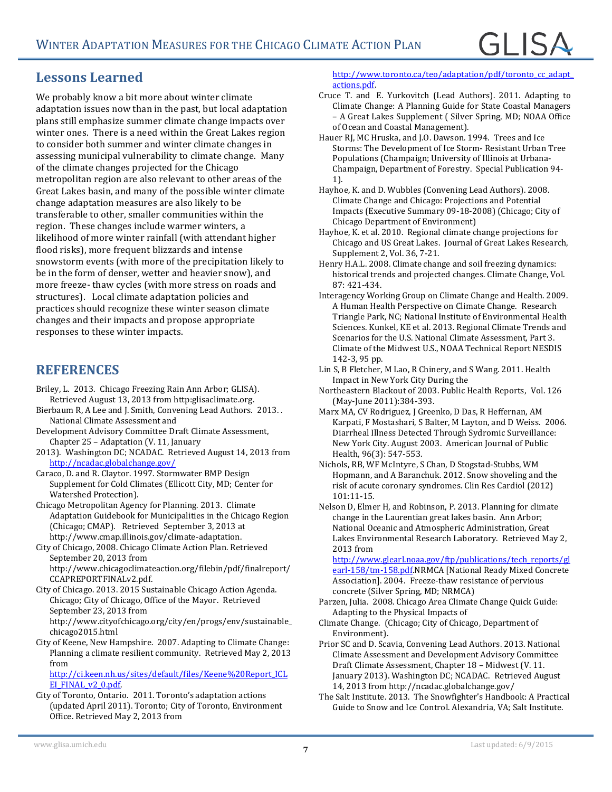#### **Lessons Learned**

We probably know a bit more about winter climate adaptation issues now than in the past, but local adaptation plans still emphasize summer climate change impacts over winter ones. There is a need within the Great Lakes region to consider both summer and winter climate changes in assessing municipal vulnerability to climate change. Many of the climate changes projected for the Chicago metropolitan region are also relevant to other areas of the Great Lakes basin, and many of the possible winter climate change adaptation measures are also likely to be transferable to other, smaller communities within the region. These changes include warmer winters, a likelihood of more winter rainfall (with attendant higher flood risks), more frequent blizzards and intense snowstorm events (with more of the precipitation likely to be in the form of denser, wetter and heavier snow), and more freeze- thaw cycles (with more stress on roads and structures). Local climate adaptation policies and practices should recognize these winter season climate changes and their impacts and propose appropriate responses to these winter impacts.

#### **REFERENCES**

- Briley, L. 2013. Chicago Freezing Rain Ann Arbor; GLISA). Retrieved August 13, 2013 from http:glisaclimate.org.
- Bierbaum R, A Lee and J. Smith, Convening Lead Authors. 2013.. National Climate Assessment and
- Development Advisory Committee Draft Climate Assessment, Chapter  $25$  – Adaptation (V. 11, January
- 2013). Washington DC; NCADAC. Retrieved August 14, 2013 from http://ncadac.globalchange.gov/

Caraco, D. and R. Claytor. 1997. Stormwater BMP Design Supplement for Cold Climates (Ellicott City, MD; Center for Watershed Protection).

Chicago Metropolitan Agency for Planning. 2013. Climate Adaptation Guidebook for Municipalities in the Chicago Region (Chicago; CMAP). Retrieved September 3, 2013 at http://www.cmap.illinois.gov/climate-adaptation.

City of Chicago, 2008. Chicago Climate Action Plan. Retrieved September 20, 2013 from

http://www.chicagoclimateaction.org/filebin/pdf/finalreport/ CCAPREPORTFINALv2.pdf.

City of Chicago. 2013. 2015 Sustainable Chicago Action Agenda. Chicago; City of Chicago, Office of the Mayor. Retrieved September 23, 2013 from

http://www.cityofchicago.org/city/en/progs/env/sustainable\_ chicago2015.html

City of Keene, New Hampshire. 2007. Adapting to Climate Change: Planning a climate resilient community. Retrieved May 2, 2013 from 

http://ci.keen.nh.us/sites/default/files/Keene%20Report\_ICL EI\_FINAL\_v2\_0.pdf

City of Toronto, Ontario. 2011. Toronto's adaptation actions (updated April 2011). Toronto; City of Toronto, Environment Office. Retrieved May 2, 2013 from 

http://www.toronto.ca/teo/adaptation/pdf/toronto\_cc\_adapt\_ actions.pdf.

- Cruce T. and E. Yurkovitch (Lead Authors). 2011. Adapting to Climate Change: A Planning Guide for State Coastal Managers – A Great Lakes Supplement ( Silver Spring, MD; NOAA Office of Ocean and Coastal Management).
- Hauer RJ, MC Hruska, and J.O. Dawson. 1994. Trees and Ice Storms: The Development of Ice Storm- Resistant Urban Tree Populations (Champaign; University of Illinois at Urbana-Champaign, Department of Forestry. Special Publication 94-1).
- Hayhoe, K. and D. Wubbles (Convening Lead Authors). 2008. Climate Change and Chicago: Projections and Potential Impacts (Executive Summary 09-18-2008) (Chicago; City of Chicago Department of Environment)
- Hayhoe, K. et al. 2010. Regional climate change projections for Chicago and US Great Lakes. Journal of Great Lakes Research, Supplement 2, Vol. 36, 7-21.
- Henry H.A.L. 2008. Climate change and soil freezing dynamics: historical trends and projected changes. Climate Change, Vol. 87: 421-434.
- Interagency Working Group on Climate Change and Health. 2009. A Human Health Perspective on Climate Change. Research Triangle Park, NC; National Institute of Environmental Health Sciences. Kunkel, KE et al. 2013. Regional Climate Trends and Scenarios for the U.S. National Climate Assessment, Part 3. Climate of the Midwest U.S., NOAA Technical Report NESDIS 142-3, 95 pp.
- Lin S, B Fletcher, M Lao, R Chinery, and S Wang. 2011. Health Impact in New York City During the
- Northeastern Blackout of 2003. Public Health Reports, Vol. 126 (May-June 2011):384-393.
- Marx MA, CV Rodriguez, J Greenko, D Das, R Heffernan, AM Karpati, F Mostashari, S Balter, M Layton, and D Weiss. 2006. Diarrheal Illness Detected Through Sydromic Surveillance: New York City. August 2003. American Journal of Public Health, 96(3): 547-553.
- Nichols, RB, WF McIntyre, S Chan, D Stogstad-Stubbs, WM Hopmann, and A Baranchuk. 2012. Snow shoveling and the risk of acute coronary syndromes. Clin Res Cardiol (2012) 101:11-15.
- Nelson D, Elmer H, and Robinson, P. 2013. Planning for climate change in the Laurentian great lakes basin. Ann Arbor; National Oceanic and Atmospheric Administration, Great Lakes Environmental Research Laboratory. Retrieved May 2, 2013 from

http://www.glearl.noaa.gov/ftp/publications/tech\_reports/gl earl-158/tm-158.pdf.NRMCA [National Ready Mixed Concrete Association]. 2004. Freeze-thaw resistance of pervious concrete (Silver Spring, MD; NRMCA)

- Parzen, Julia. 2008. Chicago Area Climate Change Quick Guide: Adapting to the Physical Impacts of
- Climate Change. (Chicago; City of Chicago, Department of Environment).
- Prior SC and D. Scavia, Convening Lead Authors. 2013. National Climate Assessment and Development Advisory Committee Draft Climate Assessment, Chapter 18 - Midwest (V. 11. January 2013). Washington DC; NCADAC. Retrieved August 14, 2013 from http://ncadac.globalchange.gov/
- The Salt Institute. 2013. The Snowfighter's Handbook: A Practical Guide to Snow and Ice Control. Alexandria, VA; Salt Institute.